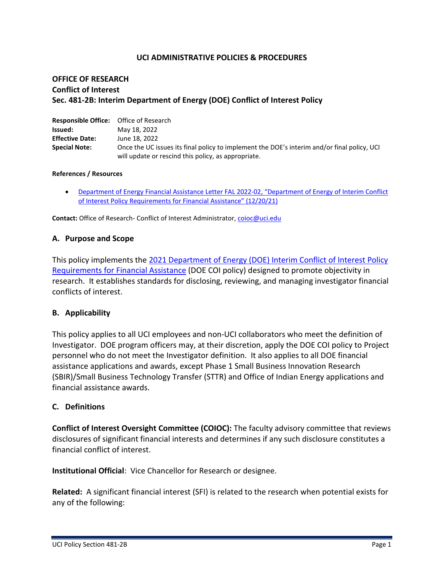### **UCI ADMINISTRATIVE POLICIES & PROCEDURES**

## **OFFICE OF RESEARCH Conflict of Interest Sec. 481-2B: Interim Department of Energy (DOE) Conflict of Interest Policy**

| <b>Responsible Office:</b> Office of Research |                                                                                             |
|-----------------------------------------------|---------------------------------------------------------------------------------------------|
| Issued:                                       | May 18, 2022                                                                                |
| <b>Effective Date:</b>                        | June 18, 2022                                                                               |
| <b>Special Note:</b>                          | Once the UC issues its final policy to implement the DOE's interim and/or final policy, UCI |
|                                               | will update or rescind this policy, as appropriate.                                         |

#### **References / Resources**

• [Department of Energy Financial Assistance Letter FAL 2022-02, "Department of Energy of Interim Conflict](https://www.energy.gov/sites/default/files/2021-12/Interim%20COI%20Policy%20FAL2022-02%20to%20SPEs.pdf)  [of Interest Policy Requirements for](https://www.energy.gov/sites/default/files/2021-12/Interim%20COI%20Policy%20FAL2022-02%20to%20SPEs.pdf) Financial Assistance" (12/20/21)

**Contact:** Office of Research- Conflict of Interest Administrator, [coioc@uci.edu](mailto:coioc@uci.edu)

### **A. Purpose and Scope**

This policy implements the [2021 Department of Energy \(DOE\) Interim Conflict of Interest Policy](https://www.energy.gov/sites/default/files/2021-12/Interim%20COI%20Policy%20FAL2022-02%20to%20SPEs.pdf)  [Requirements for Financial Assistance](https://www.energy.gov/sites/default/files/2021-12/Interim%20COI%20Policy%20FAL2022-02%20to%20SPEs.pdf) (DOE COI policy) designed to promote objectivity in research. It establishes standards for disclosing, reviewing, and managing investigator financial conflicts of interest.

#### **B. Applicability**

This policy applies to all UCI employees and non-UCI collaborators who meet the definition of Investigator. DOE program officers may, at their discretion, apply the DOE COI policy to Project personnel who do not meet the Investigator definition. It also applies to all DOE financial assistance applications and awards, except Phase 1 Small Business Innovation Research (SBIR)/Small Business Technology Transfer (STTR) and Office of Indian Energy applications and financial assistance awards.

#### **C. Definitions**

**Conflict of Interest Oversight Committee (COIOC):** The faculty advisory committee that reviews disclosures of significant financial interests and determines if any such disclosure constitutes a financial conflict of interest.

**Institutional Official**: Vice Chancellor for Research or designee.

**Related:** A significant financial interest (SFI) is related to the research when potential exists for any of the following: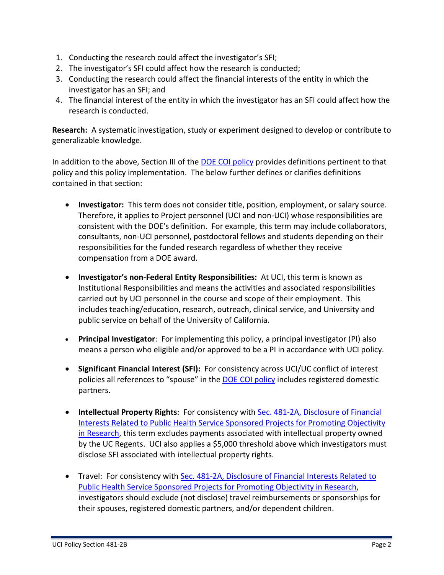- 1. Conducting the research could affect the investigator's SFI;
- 2. The investigator's SFI could affect how the research is conducted;
- 3. Conducting the research could affect the financial interests of the entity in which the investigator has an SFI; and
- 4. The financial interest of the entity in which the investigator has an SFI could affect how the research is conducted.

**Research:** A systematic investigation, study or experiment designed to develop or contribute to generalizable knowledge.

In addition to the above, Section III of the DOE COI policy provides definitions pertinent to that policy and this policy implementation. The below further defines or clarifies definitions contained in that section:

- **Investigator:** This term does not consider title, position, employment, or salary source. Therefore, it applies to Project personnel (UCI and non-UCI) whose responsibilities are consistent with the DOE's definition. For example, this term may include collaborators, consultants, non-UCI personnel, postdoctoral fellows and students depending on their responsibilities for the funded research regardless of whether they receive compensation from a DOE award.
- **Investigator's non-Federal Entity Responsibilities:** At UCI, this term is known as Institutional Responsibilities and means the activities and associated responsibilities carried out by UCI personnel in the course and scope of their employment. This includes teaching/education, research, outreach, clinical service, and University and public service on behalf of the University of California.
- **Principal Investigator**: For implementing this policy, a principal investigator (PI) also means a person who eligible and/or approved to be a PI in accordance with UCI policy.
- **Significant Financial Interest (SFI):** For consistency across UCI/UC conflict of interest policies all references to "spouse" in the DOE COI policy includes registered domestic partners.
- **Intellectual Property Rights**: For consistency with Sec. 481-2A, Disclosure of Financial Interests Related to Public Health Service Sponsored Projects for Promoting Objectivity in Research, this term excludes payments associated with intellectual property owned by the UC Regents. UCI also applies a \$5,000 threshold above which investigators must disclose SFI associated with intellectual property rights.
- Travel: For consistency with Sec. 481-2A, Disclosure of Financial Interests Related to Public Health Service Sponsored Projects for Promoting Objectivity in Research, investigators should exclude (not disclose) travel reimbursements or sponsorships for their spouses, registered domestic partners, and/or dependent children.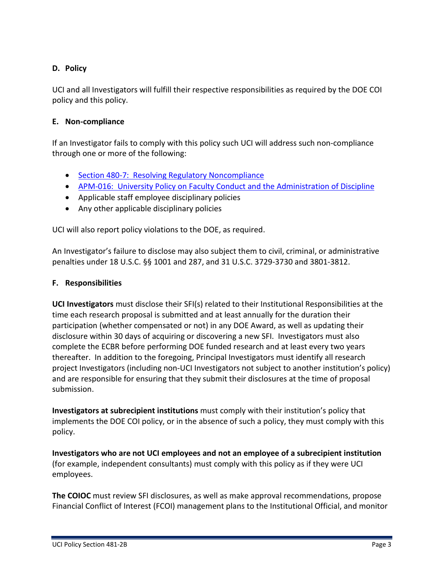# **D. Policy**

UCI and all Investigators will fulfill their respective responsibilities as required by the DOE COI policy and this policy.

# **E. Non-compliance**

If an Investigator fails to comply with this policy such UCI will address such non-compliance through one or more of the following:

- Section 480-7: Resolving Regulatory Noncompliance
- APM-016: University Policy on Faculty Conduct and the Administration of Discipline
- Applicable staff employee disciplinary policies
- Any other applicable disciplinary policies

UCI will also report policy violations to the DOE, as required.

An Investigator's failure to disclose may also subject them to civil, criminal, or administrative penalties under 18 U.S.C. §§ 1001 and 287, and 31 U.S.C. 3729-3730 and 3801-3812.

### **F. Responsibilities**

**UCI Investigators** must disclose their SFI(s) related to their Institutional Responsibilities at the time each research proposal is submitted and at least annually for the duration their participation (whether compensated or not) in any DOE Award, as well as updating their disclosure within 30 days of acquiring or discovering a new SFI. Investigators must also complete the ECBR before performing DOE funded research and at least every two years thereafter. In addition to the foregoing, Principal Investigators must identify all research project Investigators (including non-UCI Investigators not subject to another institution's policy) and are responsible for ensuring that they submit their disclosures at the time of proposal submission.

**Investigators at subrecipient institutions** must comply with their institution's policy that implements the DOE COI policy, or in the absence of such a policy, they must comply with this policy.

**Investigators who are not UCI employees and not an employee of a subrecipient institution** (for example, independent consultants) must comply with this policy as if they were UCI employees.

**The COIOC** must review SFI disclosures, as well as make approval recommendations, propose Financial Conflict of Interest (FCOI) management plans to the Institutional Official, and monitor